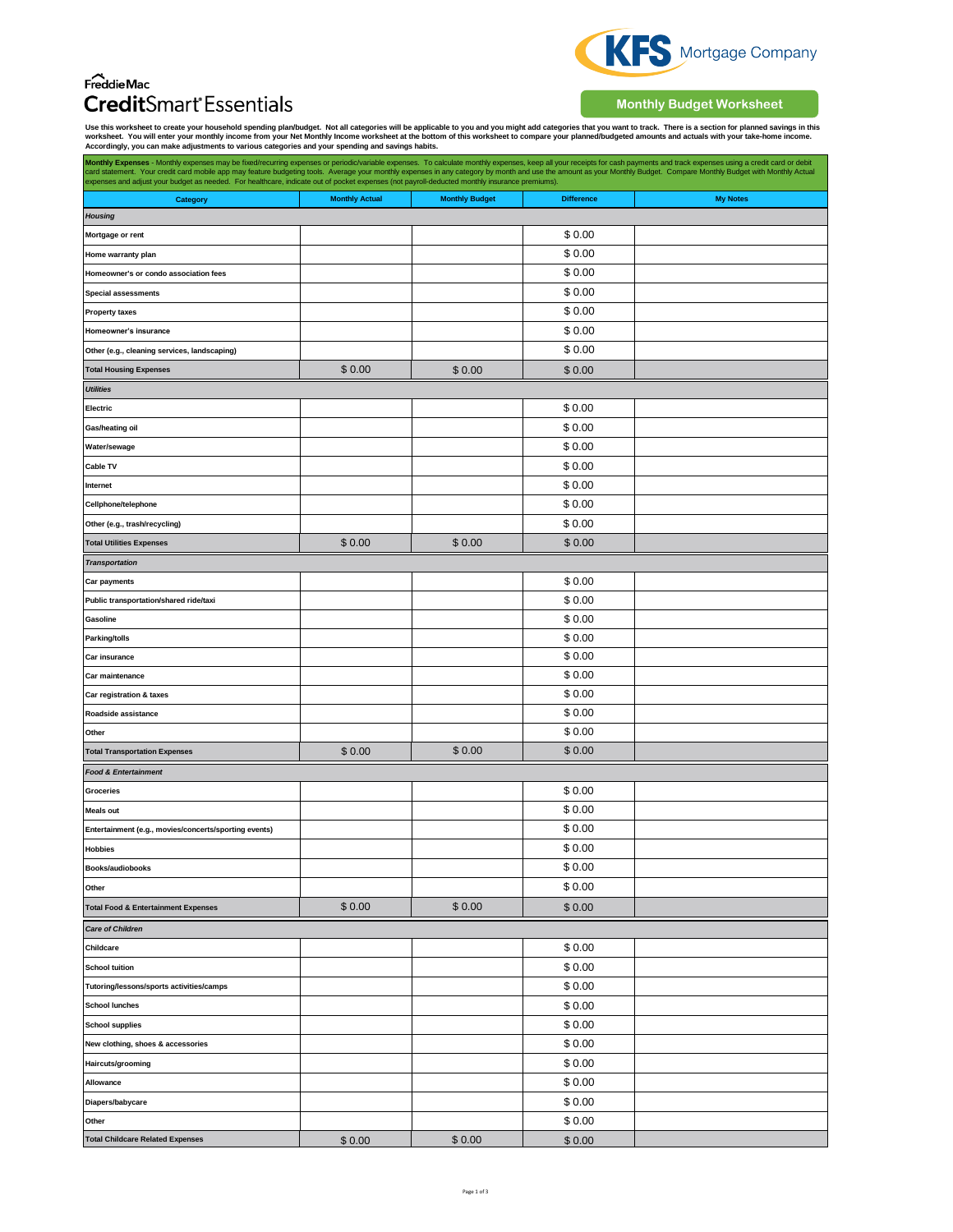## $\overbrace{\mathsf{FreddieMac}}$ **Credit**Smart<sup>\*</sup> Essentials



**Monthly Budget Worksheet**

Use this worksheet to create your household spending plan/budget. Not all categories will be applicable to you and you might add categories that you want to track. There is a section for planned savings in this<br>worksheet.

| Monthly Expenses - Monthly expenses may be fixed/recurring expenses or periodic/variable expenses. To calculate monthly expenses, keep all your receipts for cash payments and track expenses using a credit card or debit<br>card statement. Your credit card mobile app may feature budgeting tools. Average your monthly expenses in any category by month and use the amount as your Monthly Budget. Compare Monthly Budget with Monthly Actual<br>expenses and adjust your budget as needed. For healthcare, indicate out of pocket expenses (not payroll-deducted monthly insurance premiums). |                       |                       |                   |                 |
|------------------------------------------------------------------------------------------------------------------------------------------------------------------------------------------------------------------------------------------------------------------------------------------------------------------------------------------------------------------------------------------------------------------------------------------------------------------------------------------------------------------------------------------------------------------------------------------------------|-----------------------|-----------------------|-------------------|-----------------|
| Category                                                                                                                                                                                                                                                                                                                                                                                                                                                                                                                                                                                             | <b>Monthly Actual</b> | <b>Monthly Budget</b> | <b>Difference</b> | <b>My Notes</b> |
| <b>Housing</b>                                                                                                                                                                                                                                                                                                                                                                                                                                                                                                                                                                                       |                       |                       |                   |                 |
| Mortgage or rent                                                                                                                                                                                                                                                                                                                                                                                                                                                                                                                                                                                     |                       |                       | \$0.00            |                 |
| Home warranty plan                                                                                                                                                                                                                                                                                                                                                                                                                                                                                                                                                                                   |                       |                       | \$0.00            |                 |
| Homeowner's or condo association fees                                                                                                                                                                                                                                                                                                                                                                                                                                                                                                                                                                |                       |                       | \$0.00            |                 |
| <b>Special assessments</b>                                                                                                                                                                                                                                                                                                                                                                                                                                                                                                                                                                           |                       |                       | \$0.00            |                 |
| <b>Property taxes</b>                                                                                                                                                                                                                                                                                                                                                                                                                                                                                                                                                                                |                       |                       | \$0.00            |                 |
| Homeowner's insurance                                                                                                                                                                                                                                                                                                                                                                                                                                                                                                                                                                                |                       |                       | \$0.00            |                 |
| Other (e.g., cleaning services, landscaping)                                                                                                                                                                                                                                                                                                                                                                                                                                                                                                                                                         |                       |                       | \$0.00            |                 |
| <b>Total Housing Expenses</b>                                                                                                                                                                                                                                                                                                                                                                                                                                                                                                                                                                        | \$0.00                | \$0.00                | \$0.00            |                 |
| <b>Utilities</b>                                                                                                                                                                                                                                                                                                                                                                                                                                                                                                                                                                                     |                       |                       |                   |                 |
| Electric                                                                                                                                                                                                                                                                                                                                                                                                                                                                                                                                                                                             |                       |                       | \$0.00            |                 |
| Gas/heating oil                                                                                                                                                                                                                                                                                                                                                                                                                                                                                                                                                                                      |                       |                       | \$0.00            |                 |
| Water/sewage                                                                                                                                                                                                                                                                                                                                                                                                                                                                                                                                                                                         |                       |                       | \$0.00            |                 |
| Cable TV                                                                                                                                                                                                                                                                                                                                                                                                                                                                                                                                                                                             |                       |                       | \$0.00            |                 |
| Internet                                                                                                                                                                                                                                                                                                                                                                                                                                                                                                                                                                                             |                       |                       | \$0.00            |                 |
| Cellphone/telephone                                                                                                                                                                                                                                                                                                                                                                                                                                                                                                                                                                                  |                       |                       | \$0.00            |                 |
| Other (e.g., trash/recycling)                                                                                                                                                                                                                                                                                                                                                                                                                                                                                                                                                                        |                       |                       | \$0.00            |                 |
| <b>Total Utilities Expenses</b>                                                                                                                                                                                                                                                                                                                                                                                                                                                                                                                                                                      | \$0.00                | \$0.00                | \$0.00            |                 |
| <b>Transportation</b>                                                                                                                                                                                                                                                                                                                                                                                                                                                                                                                                                                                |                       |                       |                   |                 |
| <b>Car payments</b>                                                                                                                                                                                                                                                                                                                                                                                                                                                                                                                                                                                  |                       |                       | \$0.00            |                 |
| Public transportation/shared ride/taxi                                                                                                                                                                                                                                                                                                                                                                                                                                                                                                                                                               |                       |                       | \$0.00            |                 |
| Gasoline                                                                                                                                                                                                                                                                                                                                                                                                                                                                                                                                                                                             |                       |                       | \$0.00            |                 |
| <b>Parking/tolls</b>                                                                                                                                                                                                                                                                                                                                                                                                                                                                                                                                                                                 |                       |                       | \$0.00            |                 |
| Car insurance                                                                                                                                                                                                                                                                                                                                                                                                                                                                                                                                                                                        |                       |                       | \$0.00            |                 |
| Car maintenance                                                                                                                                                                                                                                                                                                                                                                                                                                                                                                                                                                                      |                       |                       | \$0.00            |                 |
| Car registration & taxes                                                                                                                                                                                                                                                                                                                                                                                                                                                                                                                                                                             |                       |                       | \$0.00            |                 |
| Roadside assistance                                                                                                                                                                                                                                                                                                                                                                                                                                                                                                                                                                                  |                       |                       | \$0.00            |                 |
| Other                                                                                                                                                                                                                                                                                                                                                                                                                                                                                                                                                                                                |                       |                       | \$0.00            |                 |
| <b>Total Transportation Expenses</b>                                                                                                                                                                                                                                                                                                                                                                                                                                                                                                                                                                 | \$0.00                | \$0.00                | \$0.00            |                 |
| <b>Food &amp; Entertainment</b>                                                                                                                                                                                                                                                                                                                                                                                                                                                                                                                                                                      |                       |                       |                   |                 |
| Groceries                                                                                                                                                                                                                                                                                                                                                                                                                                                                                                                                                                                            |                       |                       | \$0.00            |                 |
| <b>Meals out</b>                                                                                                                                                                                                                                                                                                                                                                                                                                                                                                                                                                                     |                       |                       | \$0.00            |                 |
| Entertainment (e.g., movies/concerts/sporting events)                                                                                                                                                                                                                                                                                                                                                                                                                                                                                                                                                |                       |                       | \$0.00            |                 |
| <b>Hobbies</b>                                                                                                                                                                                                                                                                                                                                                                                                                                                                                                                                                                                       |                       |                       | \$0.00            |                 |
| Books/audiobooks                                                                                                                                                                                                                                                                                                                                                                                                                                                                                                                                                                                     |                       |                       | \$0.00            |                 |
|                                                                                                                                                                                                                                                                                                                                                                                                                                                                                                                                                                                                      |                       |                       | \$0.00            |                 |
| Other                                                                                                                                                                                                                                                                                                                                                                                                                                                                                                                                                                                                |                       | \$0.00                | \$0.00            |                 |
| <b>Total Food &amp; Entertainment Expenses</b>                                                                                                                                                                                                                                                                                                                                                                                                                                                                                                                                                       | \$0.00                |                       |                   |                 |
| <b>Care of Children</b>                                                                                                                                                                                                                                                                                                                                                                                                                                                                                                                                                                              |                       |                       |                   |                 |
| Childcare                                                                                                                                                                                                                                                                                                                                                                                                                                                                                                                                                                                            |                       |                       | \$0.00            |                 |
| <b>School tuition</b>                                                                                                                                                                                                                                                                                                                                                                                                                                                                                                                                                                                |                       |                       | \$0.00            |                 |
| Tutoring/lessons/sports activities/camps                                                                                                                                                                                                                                                                                                                                                                                                                                                                                                                                                             |                       |                       | \$0.00            |                 |
| <b>School lunches</b>                                                                                                                                                                                                                                                                                                                                                                                                                                                                                                                                                                                |                       |                       | \$0.00            |                 |
| <b>School supplies</b>                                                                                                                                                                                                                                                                                                                                                                                                                                                                                                                                                                               |                       |                       | \$0.00            |                 |
| New clothing, shoes & accessories                                                                                                                                                                                                                                                                                                                                                                                                                                                                                                                                                                    |                       |                       | \$0.00            |                 |
| Haircuts/grooming                                                                                                                                                                                                                                                                                                                                                                                                                                                                                                                                                                                    |                       |                       | \$0.00            |                 |
| Allowance                                                                                                                                                                                                                                                                                                                                                                                                                                                                                                                                                                                            |                       |                       | \$0.00            |                 |
| Diapers/babycare                                                                                                                                                                                                                                                                                                                                                                                                                                                                                                                                                                                     |                       |                       | \$0.00            |                 |
| Other                                                                                                                                                                                                                                                                                                                                                                                                                                                                                                                                                                                                |                       |                       | \$0.00            |                 |
| <b>Total Childcare Related Expenses</b>                                                                                                                                                                                                                                                                                                                                                                                                                                                                                                                                                              | \$0.00                | \$0.00                | \$0.00            |                 |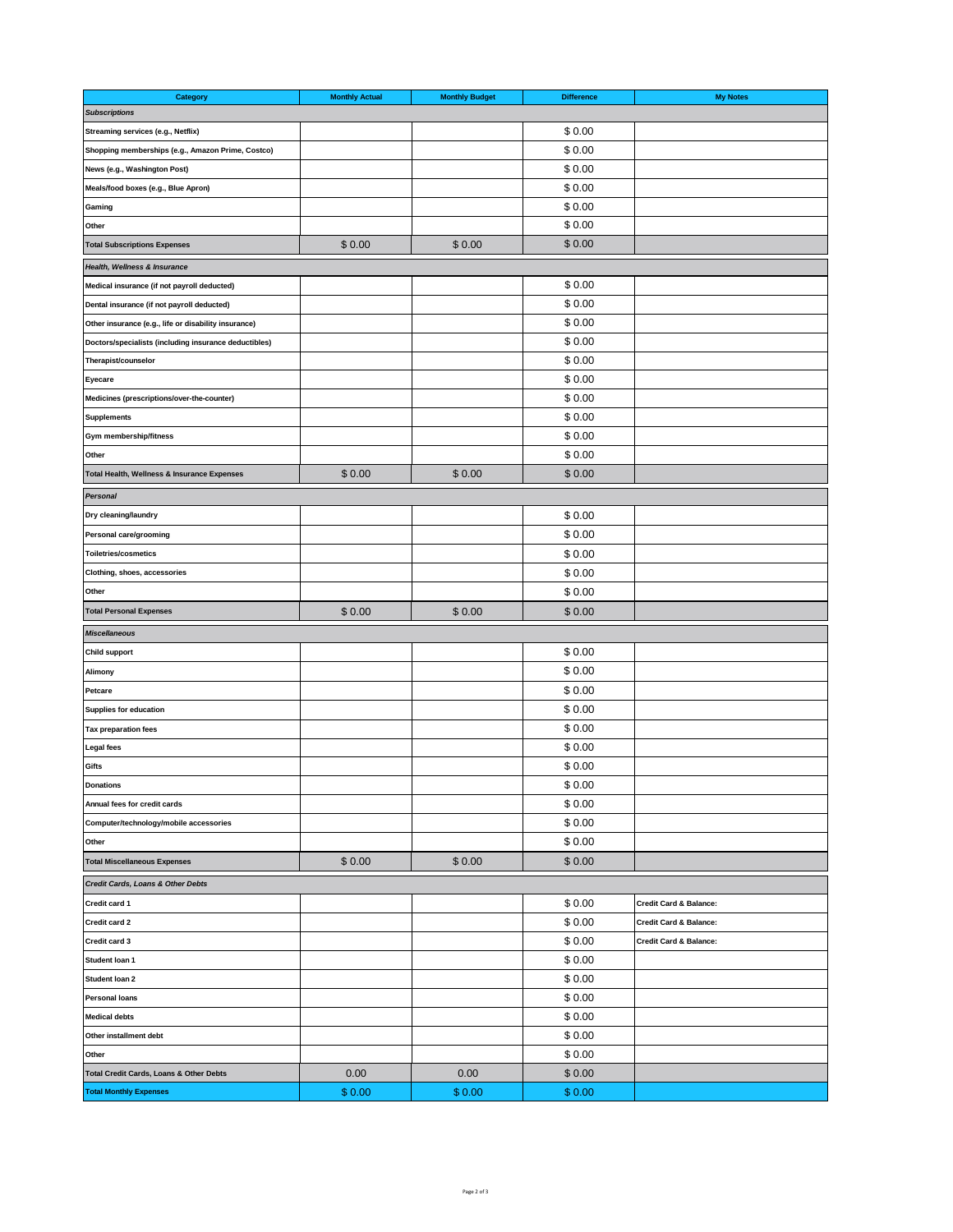| Category                                              | <b>Monthly Actual</b> | <b>Monthly Budget</b> | <b>Difference</b> | <b>My Notes</b>                   |
|-------------------------------------------------------|-----------------------|-----------------------|-------------------|-----------------------------------|
| <b>Subscriptions</b>                                  |                       |                       |                   |                                   |
| Streaming services (e.g., Netflix)                    |                       |                       | \$0.00            |                                   |
| Shopping memberships (e.g., Amazon Prime, Costco)     |                       |                       | \$0.00            |                                   |
| News (e.g., Washington Post)                          |                       |                       | \$0.00            |                                   |
| Meals/food boxes (e.g., Blue Apron)                   |                       |                       | \$0.00            |                                   |
| Gaming                                                |                       |                       | \$0.00            |                                   |
| Other                                                 |                       |                       | \$0.00            |                                   |
| <b>Total Subscriptions Expenses</b>                   | \$0.00                | \$0.00                | \$0.00            |                                   |
| Health, Wellness & Insurance                          |                       |                       |                   |                                   |
| Medical insurance (if not payroll deducted)           |                       |                       | \$0.00            |                                   |
| Dental insurance (if not payroll deducted)            |                       |                       | \$0.00            |                                   |
| Other insurance (e.g., life or disability insurance)  |                       |                       | \$0.00            |                                   |
| Doctors/specialists (including insurance deductibles) |                       |                       | \$0.00            |                                   |
| Therapist/counselor                                   |                       |                       | \$0.00            |                                   |
| Eyecare                                               |                       |                       | \$0.00            |                                   |
| Medicines (prescriptions/over-the-counter)            |                       |                       | \$0.00            |                                   |
| Supplements                                           |                       |                       | \$0.00            |                                   |
| Gym membership/fitness                                |                       |                       | \$0.00            |                                   |
| Other                                                 |                       |                       | \$0.00            |                                   |
| Total Health, Wellness & Insurance Expenses           | \$0.00                | \$0.00                | \$0.00            |                                   |
|                                                       |                       |                       |                   |                                   |
| Personal                                              |                       |                       |                   |                                   |
| Dry cleaning/laundry                                  |                       |                       | \$0.00            |                                   |
| Personal care/grooming                                |                       |                       | \$0.00            |                                   |
| <b>Toiletries/cosmetics</b>                           |                       |                       | \$0.00            |                                   |
| Clothing, shoes, accessories                          |                       |                       | \$0.00            |                                   |
| Other                                                 |                       |                       | \$0.00            |                                   |
| <b>Total Personal Expenses</b>                        | \$0.00                | \$0.00                | \$0.00            |                                   |
| <b>Miscellaneous</b>                                  |                       |                       |                   |                                   |
| <b>Child support</b>                                  |                       |                       | \$0.00            |                                   |
| Alimony                                               |                       |                       | \$0.00            |                                   |
| Petcare                                               |                       |                       | \$0.00            |                                   |
| <b>Supplies for education</b>                         |                       |                       | \$0.00            |                                   |
| <b>Tax preparation fees</b>                           |                       |                       | \$0.00            |                                   |
| Legal fees                                            |                       |                       | \$0.00            |                                   |
| Gifts                                                 |                       |                       | \$0.00            |                                   |
| Donations                                             |                       |                       | \$0.00            |                                   |
| Annual fees for credit cards                          |                       |                       | \$0.00            |                                   |
| Computer/technology/mobile accessories                |                       |                       | \$0.00            |                                   |
| Other                                                 |                       |                       | \$0.00            |                                   |
| <b>Total Miscellaneous Expenses</b>                   | \$0.00                | \$0.00                | \$0.00            |                                   |
| Credit Cards, Loans & Other Debts                     |                       |                       |                   |                                   |
| Credit card 1                                         |                       |                       | \$0.00            | <b>Credit Card &amp; Balance:</b> |
| Credit card 2                                         |                       |                       | \$0.00            | <b>Credit Card &amp; Balance:</b> |
| Credit card 3                                         |                       |                       | \$0.00            | <b>Credit Card &amp; Balance:</b> |
| Student Ioan 1                                        |                       |                       | \$0.00            |                                   |
| Student Ioan 2                                        |                       |                       | \$0.00            |                                   |
| <b>Personal loans</b>                                 |                       |                       | \$0.00            |                                   |
| <b>Medical debts</b>                                  |                       |                       | \$0.00            |                                   |
| Other installment debt                                |                       |                       | \$0.00            |                                   |
| Other                                                 |                       |                       | \$0.00            |                                   |
| Total Credit Cards, Loans & Other Debts               | 0.00                  | 0.00                  | \$0.00            |                                   |
| <b>Total Monthly Expenses</b>                         | \$0.00                | \$0.00                | \$0.00            |                                   |